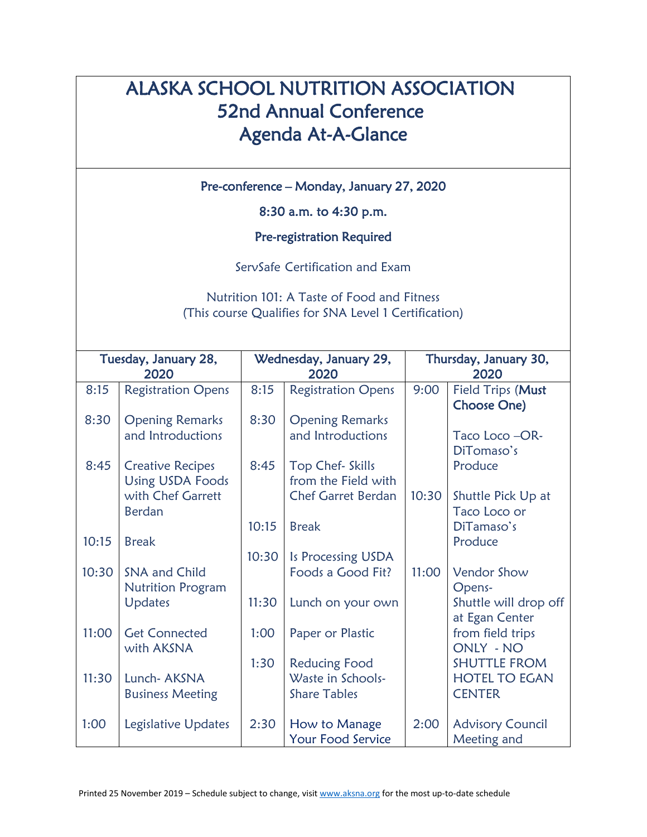## ALASKA SCHOOL NUTRITION ASSOCIATION 52nd Annual Conference Agenda At-A-Glance

Pre-conference – Monday, January 27, 2020

8:30 a.m. to 4:30 p.m.

Pre-registration Required

ServSafe Certification and Exam

Nutrition 101: A Taste of Food and Fitness (This course Qualifies for SNA Level 1 Certification)

| Tuesday, January 28, |                           | Wednesday, January 29, |                           | Thursday, January 30, |                         |
|----------------------|---------------------------|------------------------|---------------------------|-----------------------|-------------------------|
| 2020                 |                           | 2020                   |                           | 2020                  |                         |
| 8:15                 | <b>Registration Opens</b> | 8:15                   | <b>Registration Opens</b> | 9:00                  | Field Trips (Must       |
|                      |                           |                        |                           |                       | <b>Choose One)</b>      |
| 8:30                 | <b>Opening Remarks</b>    | 8:30                   | <b>Opening Remarks</b>    |                       |                         |
|                      | and Introductions         |                        | and Introductions         |                       | Taco Loco -OR-          |
|                      |                           |                        |                           |                       | DiTomaso's              |
| 8:45                 | <b>Creative Recipes</b>   | 8:45                   | Top Chef- Skills          |                       | Produce                 |
|                      | <b>Using USDA Foods</b>   |                        | from the Field with       |                       |                         |
|                      | with Chef Garrett         |                        | <b>Chef Garret Berdan</b> | 10:30                 | Shuttle Pick Up at      |
|                      | <b>Berdan</b>             |                        |                           |                       | Taco Loco or            |
|                      |                           |                        |                           |                       |                         |
|                      |                           | 10:15                  | <b>Break</b>              |                       | DiTamaso's              |
| 10:15                | <b>Break</b>              |                        |                           |                       | Produce                 |
|                      |                           | 10:30                  | Is Processing USDA        |                       |                         |
| 10:30                | SNA and Child             |                        | Foods a Good Fit?         | 11:00                 | Vendor Show             |
|                      | <b>Nutrition Program</b>  |                        |                           |                       | Opens-                  |
|                      | Updates                   | 11:30                  | Lunch on your own         |                       | Shuttle will drop off   |
|                      |                           |                        |                           |                       | at Egan Center          |
| 11:00                | <b>Get Connected</b>      | 1:00                   | Paper or Plastic          |                       | from field trips        |
|                      | with AKSNA                |                        |                           |                       | ONLY - NO               |
|                      |                           | 1:30                   | <b>Reducing Food</b>      |                       | <b>SHUTTLE FROM</b>     |
| 11:30                | Lunch- AKSNA              |                        | Waste in Schools-         |                       | <b>HOTEL TO EGAN</b>    |
|                      |                           |                        |                           |                       |                         |
|                      | <b>Business Meeting</b>   |                        | <b>Share Tables</b>       |                       | <b>CENTER</b>           |
|                      |                           |                        |                           |                       |                         |
| 1:00                 | Legislative Updates       | 2:30                   | How to Manage             | 2:00                  | <b>Advisory Council</b> |
|                      |                           |                        | Your Food Service         |                       | Meeting and             |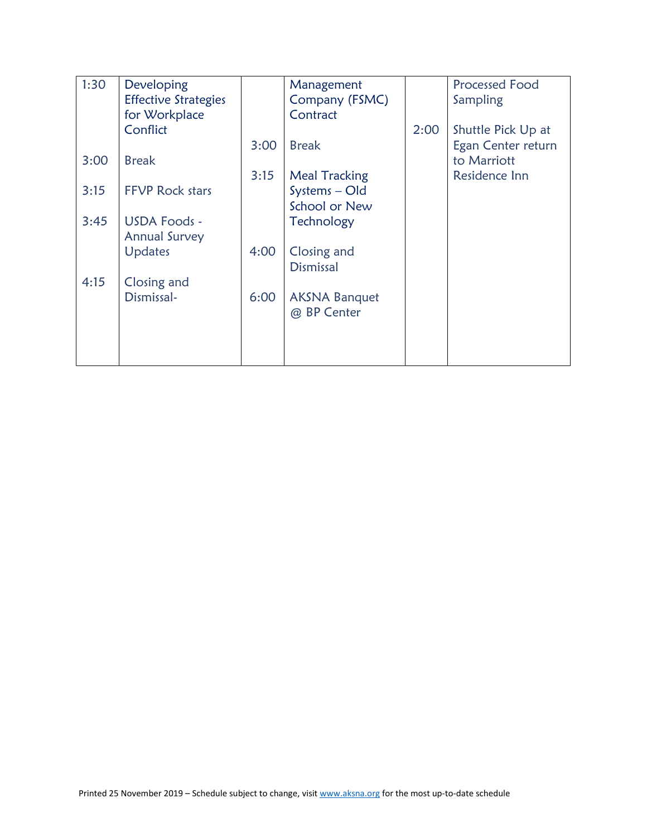| 1:30 | Developing                  |      | Management           |      | <b>Processed Food</b> |
|------|-----------------------------|------|----------------------|------|-----------------------|
|      | <b>Effective Strategies</b> |      | Company (FSMC)       |      | Sampling              |
|      | for Workplace               |      | Contract             |      |                       |
|      | Conflict                    |      |                      | 2:00 | Shuttle Pick Up at    |
|      |                             | 3:00 | <b>Break</b>         |      | Egan Center return    |
| 3:00 | <b>Break</b>                |      |                      |      | to Marriott           |
|      |                             | 3:15 | <b>Meal Tracking</b> |      | Residence Inn         |
| 3:15 | <b>FFVP Rock stars</b>      |      | Systems - Old        |      |                       |
|      |                             |      | School or New        |      |                       |
| 3:45 | <b>USDA Foods -</b>         |      | Technology           |      |                       |
|      | <b>Annual Survey</b>        |      |                      |      |                       |
|      | <b>Updates</b>              | 4:00 | Closing and          |      |                       |
|      |                             |      | <b>Dismissal</b>     |      |                       |
| 4:15 | Closing and                 |      |                      |      |                       |
|      | Dismissal-                  | 6:00 | <b>AKSNA Banquet</b> |      |                       |
|      |                             |      | @ BP Center          |      |                       |
|      |                             |      |                      |      |                       |
|      |                             |      |                      |      |                       |
|      |                             |      |                      |      |                       |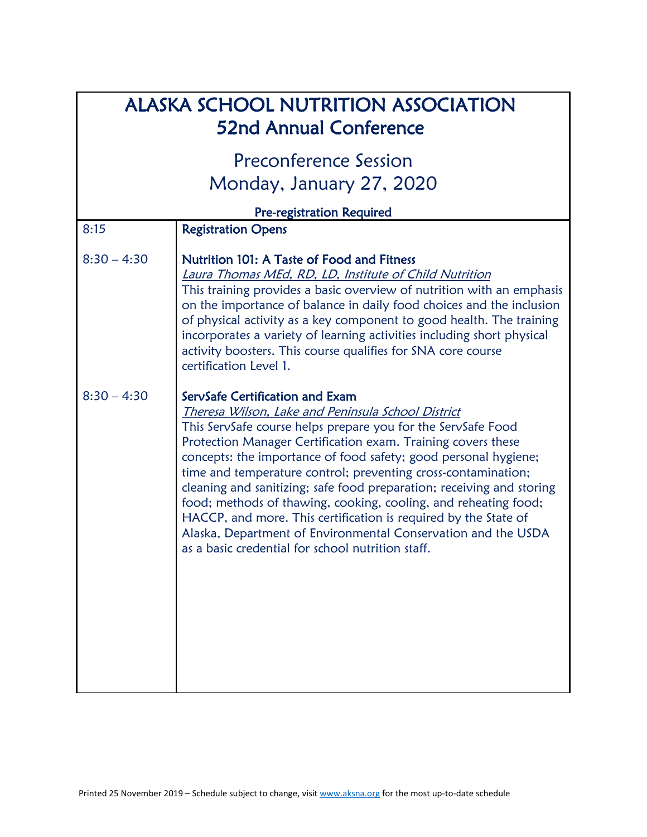| <b>ALASKA SCHOOL NUTRITION ASSOCIATION</b><br><b>52nd Annual Conference</b> |                                                                                                                                                                                                                                                                                                                                                                                                                                                                                                                                                                                                                                                                                                |  |
|-----------------------------------------------------------------------------|------------------------------------------------------------------------------------------------------------------------------------------------------------------------------------------------------------------------------------------------------------------------------------------------------------------------------------------------------------------------------------------------------------------------------------------------------------------------------------------------------------------------------------------------------------------------------------------------------------------------------------------------------------------------------------------------|--|
|                                                                             | Preconference Session<br>Monday, January 27, 2020                                                                                                                                                                                                                                                                                                                                                                                                                                                                                                                                                                                                                                              |  |
|                                                                             | Pre-registration Required                                                                                                                                                                                                                                                                                                                                                                                                                                                                                                                                                                                                                                                                      |  |
| 8:15                                                                        | <b>Registration Opens</b>                                                                                                                                                                                                                                                                                                                                                                                                                                                                                                                                                                                                                                                                      |  |
| $8:30 - 4:30$                                                               | Nutrition 101: A Taste of Food and Fitness<br><b>Laura Thomas MEd, RD, LD, Institute of Child Nutrition</b><br>This training provides a basic overview of nutrition with an emphasis<br>on the importance of balance in daily food choices and the inclusion<br>of physical activity as a key component to good health. The training<br>incorporates a variety of learning activities including short physical<br>activity boosters. This course qualifies for SNA core course<br>certification Level 1.                                                                                                                                                                                       |  |
| $8:30 - 4:30$                                                               | ServSafe Certification and Exam<br>Theresa Wilson, Lake and Peninsula School District<br>This ServSafe course helps prepare you for the ServSafe Food<br>Protection Manager Certification exam. Training covers these<br>concepts: the importance of food safety; good personal hygiene;<br>time and temperature control; preventing cross-contamination;<br>cleaning and sanitizing; safe food preparation; receiving and storing<br>food; methods of thawing, cooking, cooling, and reheating food;<br>HACCP, and more. This certification is required by the State of<br>Alaska, Department of Environmental Conservation and the USDA<br>as a basic credential for school nutrition staff. |  |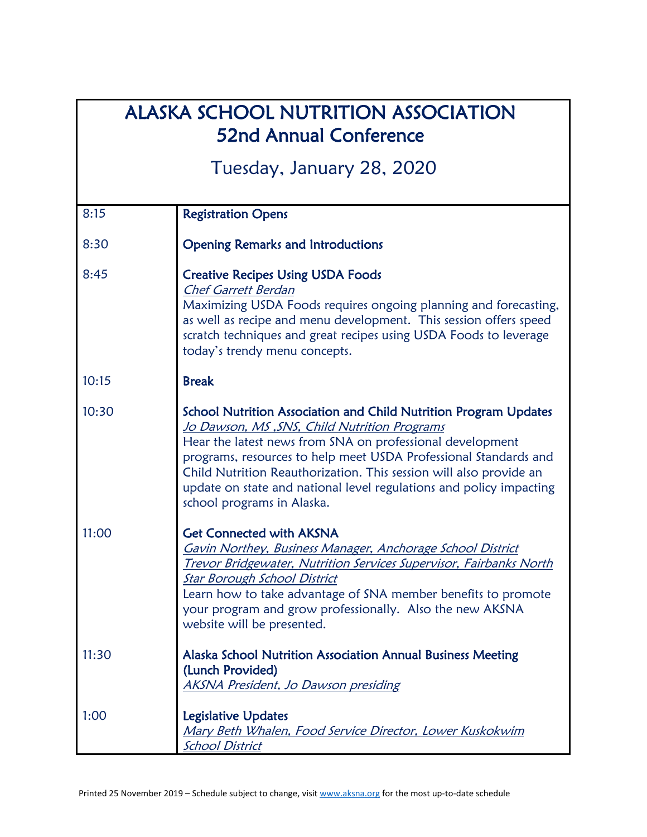## ALASKA SCHOOL NUTRITION ASSOCIATION 52nd Annual Conference

Tuesday, January 28, 2020

| 8:15  | <b>Registration Opens</b>                                                                                                                                                                                                                                                                                                                                                                                                           |
|-------|-------------------------------------------------------------------------------------------------------------------------------------------------------------------------------------------------------------------------------------------------------------------------------------------------------------------------------------------------------------------------------------------------------------------------------------|
| 8:30  | <b>Opening Remarks and Introductions</b>                                                                                                                                                                                                                                                                                                                                                                                            |
| 8:45  | <b>Creative Recipes Using USDA Foods</b><br><b>Chef Garrett Berdan</b><br>Maximizing USDA Foods requires ongoing planning and forecasting,<br>as well as recipe and menu development. This session offers speed<br>scratch techniques and great recipes using USDA Foods to leverage<br>today's trendy menu concepts.                                                                                                               |
| 10:15 | <b>Break</b>                                                                                                                                                                                                                                                                                                                                                                                                                        |
| 10:30 | <b>School Nutrition Association and Child Nutrition Program Updates</b><br>Jo Dawson, MS, SNS, Child Nutrition Programs<br>Hear the latest news from SNA on professional development<br>programs, resources to help meet USDA Professional Standards and<br>Child Nutrition Reauthorization. This session will also provide an<br>update on state and national level regulations and policy impacting<br>school programs in Alaska. |
| 11:00 | <b>Get Connected with AKSNA</b><br>Gavin Northey, Business Manager, Anchorage School District<br>Trevor Bridgewater, Nutrition Services Supervisor, Fairbanks North<br><b>Star Borough School District</b><br>Learn how to take advantage of SNA member benefits to promote<br>your program and grow professionally. Also the new AKSNA<br>website will be presented.                                                               |
| 11:30 | Alaska School Nutrition Association Annual Business Meeting<br>(Lunch Provided)<br>AKSNA President, Jo Dawson presiding                                                                                                                                                                                                                                                                                                             |
| 1:00  | <b>Legislative Updates</b><br>Mary Beth Whalen, Food Service Director, Lower Kuskokwim<br><b>School District</b>                                                                                                                                                                                                                                                                                                                    |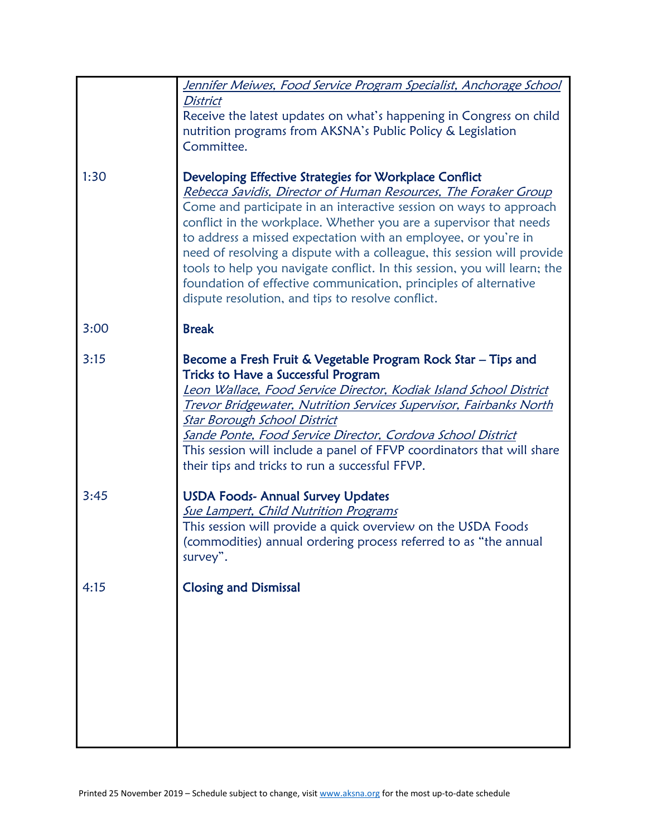|      | Jennifer Meiwes, Food Service Program Specialist, Anchorage School                                                                                                                                                                                                                                                                                                                                                                                                                                                                                                                                                       |
|------|--------------------------------------------------------------------------------------------------------------------------------------------------------------------------------------------------------------------------------------------------------------------------------------------------------------------------------------------------------------------------------------------------------------------------------------------------------------------------------------------------------------------------------------------------------------------------------------------------------------------------|
|      | <b>District</b><br>Receive the latest updates on what's happening in Congress on child<br>nutrition programs from AKSNA's Public Policy & Legislation<br>Committee.                                                                                                                                                                                                                                                                                                                                                                                                                                                      |
| 1:30 | Developing Effective Strategies for Workplace Conflict<br>Rebecca Savidis, Director of Human Resources, The Foraker Group<br>Come and participate in an interactive session on ways to approach<br>conflict in the workplace. Whether you are a supervisor that needs<br>to address a missed expectation with an employee, or you're in<br>need of resolving a dispute with a colleague, this session will provide<br>tools to help you navigate conflict. In this session, you will learn; the<br>foundation of effective communication, principles of alternative<br>dispute resolution, and tips to resolve conflict. |
| 3:00 | <b>Break</b>                                                                                                                                                                                                                                                                                                                                                                                                                                                                                                                                                                                                             |
| 3:15 | Become a Fresh Fruit & Vegetable Program Rock Star - Tips and<br><b>Tricks to Have a Successful Program</b><br>Leon Wallace, Food Service Director, Kodiak Island School District<br>Trevor Bridgewater, Nutrition Services Supervisor, Fairbanks North<br><b>Star Borough School District</b><br>Sande Ponte, Food Service Director, Cordova School District<br>This session will include a panel of FFVP coordinators that will share<br>their tips and tricks to run a successful FFVP.                                                                                                                               |
| 3:45 | <b>USDA Foods- Annual Survey Updates</b><br><b>Sue Lampert, Child Nutrition Programs</b><br>This session will provide a quick overview on the USDA Foods<br>(commodities) annual ordering process referred to as "the annual<br>survey".                                                                                                                                                                                                                                                                                                                                                                                 |
| 4:15 | <b>Closing and Dismissal</b>                                                                                                                                                                                                                                                                                                                                                                                                                                                                                                                                                                                             |
|      |                                                                                                                                                                                                                                                                                                                                                                                                                                                                                                                                                                                                                          |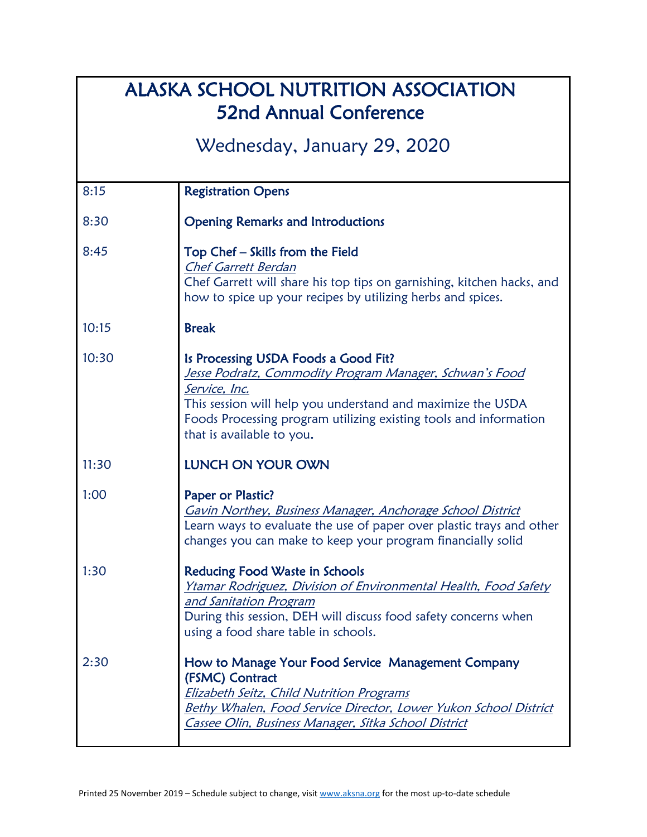| <b>ALASKA SCHOOL NUTRITION ASSOCIATION</b><br><b>52nd Annual Conference</b> |                                                                                                                                                                                                                                                                                   |  |
|-----------------------------------------------------------------------------|-----------------------------------------------------------------------------------------------------------------------------------------------------------------------------------------------------------------------------------------------------------------------------------|--|
| Wednesday, January 29, 2020                                                 |                                                                                                                                                                                                                                                                                   |  |
| 8:15                                                                        | <b>Registration Opens</b>                                                                                                                                                                                                                                                         |  |
| 8:30                                                                        | <b>Opening Remarks and Introductions</b>                                                                                                                                                                                                                                          |  |
| 8:45                                                                        | Top Chef - Skills from the Field<br><b>Chef Garrett Berdan</b><br>Chef Garrett will share his top tips on garnishing, kitchen hacks, and<br>how to spice up your recipes by utilizing herbs and spices.                                                                           |  |
| 10:15                                                                       | <b>Break</b>                                                                                                                                                                                                                                                                      |  |
| 10:30                                                                       | Is Processing USDA Foods a Good Fit?<br>Jesse Podratz, Commodity Program Manager, Schwan's Food<br>Service, Inc.<br>This session will help you understand and maximize the USDA<br>Foods Processing program utilizing existing tools and information<br>that is available to you. |  |
| 11:30                                                                       | LUNCH ON YOUR OWN                                                                                                                                                                                                                                                                 |  |
| 1:00                                                                        | Paper or Plastic?<br>Gavin Northey, Business Manager, Anchorage School District<br>Learn ways to evaluate the use of paper over plastic trays and other<br>changes you can make to keep your program financially solid                                                            |  |
| 1:30                                                                        | Reducing Food Waste in Schools<br>Ytamar Rodriguez, Division of Environmental Health, Food Safety<br>and Sanitation Program<br>During this session, DEH will discuss food safety concerns when<br>using a food share table in schools.                                            |  |
| 2:30                                                                        | How to Manage Your Food Service Management Company<br>(FSMC) Contract<br><b>Elizabeth Seitz, Child Nutrition Programs</b><br>Bethy Whalen, Food Service Director, Lower Yukon School District<br>Cassee Olin, Business Manager, Sitka School District                             |  |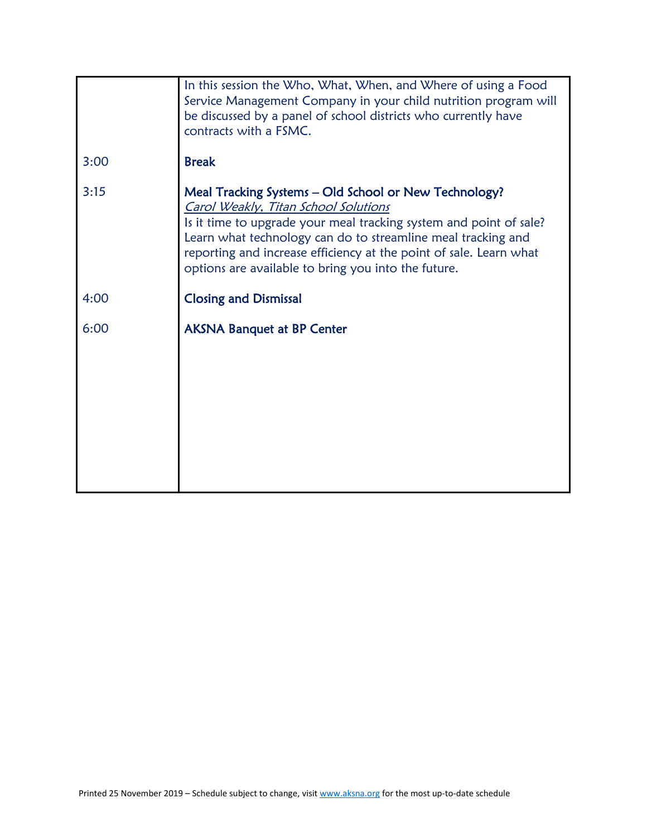|      | In this session the Who, What, When, and Where of using a Food<br>Service Management Company in your child nutrition program will<br>be discussed by a panel of school districts who currently have<br>contracts with a FSMC.                                                                                                                                    |
|------|------------------------------------------------------------------------------------------------------------------------------------------------------------------------------------------------------------------------------------------------------------------------------------------------------------------------------------------------------------------|
| 3:00 | <b>Break</b>                                                                                                                                                                                                                                                                                                                                                     |
| 3:15 | Meal Tracking Systems - Old School or New Technology?<br>Carol Weakly, Titan School Solutions<br>Is it time to upgrade your meal tracking system and point of sale?<br>Learn what technology can do to streamline meal tracking and<br>reporting and increase efficiency at the point of sale. Learn what<br>options are available to bring you into the future. |
| 4:00 | <b>Closing and Dismissal</b>                                                                                                                                                                                                                                                                                                                                     |
| 6:00 | <b>AKSNA Banquet at BP Center</b>                                                                                                                                                                                                                                                                                                                                |